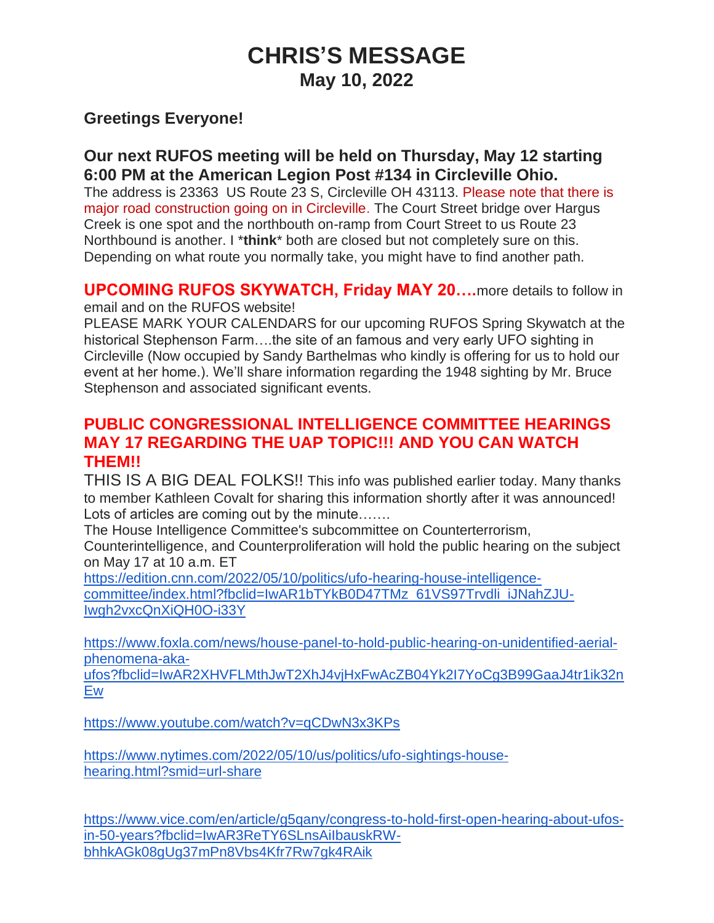# **CHRIS'S MESSAGE May 10, 2022**

## **Greetings Everyone!**

### **Our next RUFOS meeting will be held on Thursday, May 12 starting 6:00 PM at the American Legion Post #134 in Circleville Ohio.**

The address is 23363 US Route 23 S, Circleville OH 43113. Please note that there is major road construction going on in Circleville. The Court Street bridge over Hargus Creek is one spot and the northbouth on-ramp from Court Street to us Route 23 Northbound is another. I \***think**\* both are closed but not completely sure on this. Depending on what route you normally take, you might have to find another path.

# **UPCOMING RUFOS SKYWATCH, Friday MAY 20….**more details to follow in

email and on the RUFOS website!

PLEASE MARK YOUR CALENDARS for our upcoming RUFOS Spring Skywatch at the historical Stephenson Farm….the site of an famous and very early UFO sighting in Circleville (Now occupied by Sandy Barthelmas who kindly is offering for us to hold our event at her home.). We'll share information regarding the 1948 sighting by Mr. Bruce Stephenson and associated significant events.

### **PUBLIC CONGRESSIONAL INTELLIGENCE COMMITTEE HEARINGS MAY 17 REGARDING THE UAP TOPIC!!! AND YOU CAN WATCH THEM!!**

THIS IS A BIG DEAL FOLKS!! This info was published earlier today. Many thanks to member Kathleen Covalt for sharing this information shortly after it was announced! Lots of articles are coming out by the minute…….

The House Intelligence Committee's subcommittee on Counterterrorism,

Counterintelligence, and Counterproliferation will hold the public hearing on the subject on May 17 at 10 a.m. ET

[https://edition.cnn.com/2022/05/10/politics/ufo-hearing-house-intelligence](https://edition.cnn.com/2022/05/10/politics/ufo-hearing-house-intelligence-committee/index.html?fbclid=IwAR1bTYkB0D47TMz_61VS97Trvdli_iJNahZJU-Iwgh2vxcQnXiQH0O-i33Y)[committee/index.html?fbclid=IwAR1bTYkB0D47TMz\\_61VS97Trvdli\\_iJNahZJU-](https://edition.cnn.com/2022/05/10/politics/ufo-hearing-house-intelligence-committee/index.html?fbclid=IwAR1bTYkB0D47TMz_61VS97Trvdli_iJNahZJU-Iwgh2vxcQnXiQH0O-i33Y)[Iwgh2vxcQnXiQH0O-i33Y](https://edition.cnn.com/2022/05/10/politics/ufo-hearing-house-intelligence-committee/index.html?fbclid=IwAR1bTYkB0D47TMz_61VS97Trvdli_iJNahZJU-Iwgh2vxcQnXiQH0O-i33Y)

[https://www.foxla.com/news/house-panel-to-hold-public-hearing-on-unidentified-aerial](https://www.foxla.com/news/house-panel-to-hold-public-hearing-on-unidentified-aerial-phenomena-aka-ufos?fbclid=IwAR2XHVFLMthJwT2XhJ4vjHxFwAcZB04Yk2I7YoCg3B99GaaJ4tr1ik32nEw)[phenomena-aka-](https://www.foxla.com/news/house-panel-to-hold-public-hearing-on-unidentified-aerial-phenomena-aka-ufos?fbclid=IwAR2XHVFLMthJwT2XhJ4vjHxFwAcZB04Yk2I7YoCg3B99GaaJ4tr1ik32nEw)

[ufos?fbclid=IwAR2XHVFLMthJwT2XhJ4vjHxFwAcZB04Yk2I7YoCg3B99GaaJ4tr1ik32n](https://www.foxla.com/news/house-panel-to-hold-public-hearing-on-unidentified-aerial-phenomena-aka-ufos?fbclid=IwAR2XHVFLMthJwT2XhJ4vjHxFwAcZB04Yk2I7YoCg3B99GaaJ4tr1ik32nEw) [Ew](https://www.foxla.com/news/house-panel-to-hold-public-hearing-on-unidentified-aerial-phenomena-aka-ufos?fbclid=IwAR2XHVFLMthJwT2XhJ4vjHxFwAcZB04Yk2I7YoCg3B99GaaJ4tr1ik32nEw)

<https://www.youtube.com/watch?v=qCDwN3x3KPs>

[https://www.nytimes.com/2022/05/10/us/politics/ufo-sightings-house](https://www.nytimes.com/2022/05/10/us/politics/ufo-sightings-house-hearing.html?smid=url-share)[hearing.html?smid=url-share](https://www.nytimes.com/2022/05/10/us/politics/ufo-sightings-house-hearing.html?smid=url-share)

[https://www.vice.com/en/article/g5qany/congress-to-hold-first-open-hearing-about-ufos](https://www.vice.com/en/article/g5qany/congress-to-hold-first-open-hearing-about-ufos-in-50-years?fbclid=IwAR3ReTY6SLnsAiIbauskRW-bhhkAGk08gUg37mPn8Vbs4Kfr7Rw7gk4RAik)[in-50-years?fbclid=IwAR3ReTY6SLnsAiIbauskRW](https://www.vice.com/en/article/g5qany/congress-to-hold-first-open-hearing-about-ufos-in-50-years?fbclid=IwAR3ReTY6SLnsAiIbauskRW-bhhkAGk08gUg37mPn8Vbs4Kfr7Rw7gk4RAik)[bhhkAGk08gUg37mPn8Vbs4Kfr7Rw7gk4RAik](https://www.vice.com/en/article/g5qany/congress-to-hold-first-open-hearing-about-ufos-in-50-years?fbclid=IwAR3ReTY6SLnsAiIbauskRW-bhhkAGk08gUg37mPn8Vbs4Kfr7Rw7gk4RAik)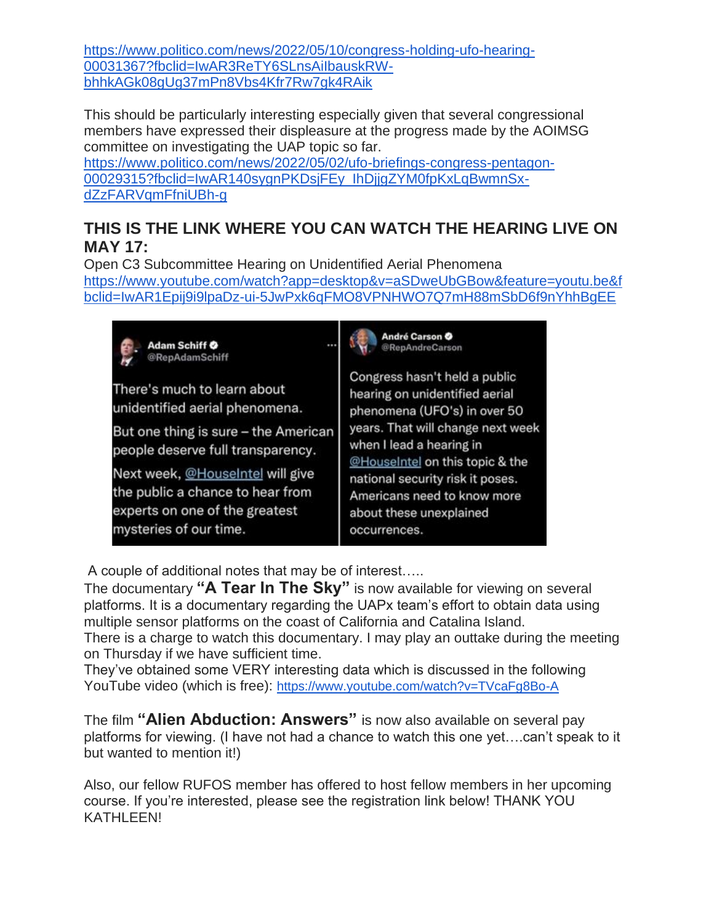[https://www.politico.com/news/2022/05/10/congress-holding-ufo-hearing-](https://www.politico.com/news/2022/05/10/congress-holding-ufo-hearing-00031367?fbclid=IwAR3ReTY6SLnsAiIbauskRW-bhhkAGk08gUg37mPn8Vbs4Kfr7Rw7gk4RAik)[00031367?fbclid=IwAR3ReTY6SLnsAiIbauskRW](https://www.politico.com/news/2022/05/10/congress-holding-ufo-hearing-00031367?fbclid=IwAR3ReTY6SLnsAiIbauskRW-bhhkAGk08gUg37mPn8Vbs4Kfr7Rw7gk4RAik)[bhhkAGk08gUg37mPn8Vbs4Kfr7Rw7gk4RAik](https://www.politico.com/news/2022/05/10/congress-holding-ufo-hearing-00031367?fbclid=IwAR3ReTY6SLnsAiIbauskRW-bhhkAGk08gUg37mPn8Vbs4Kfr7Rw7gk4RAik)

This should be particularly interesting especially given that several congressional members have expressed their displeasure at the progress made by the AOIMSG committee on investigating the UAP topic so far.

[https://www.politico.com/news/2022/05/02/ufo-briefings-congress-pentagon-](https://www.politico.com/news/2022/05/02/ufo-briefings-congress-pentagon-00029315?fbclid=IwAR140sygnPKDsjFEy_IhDjjgZYM0fpKxLqBwmnSx-dZzFARVqmFfniUBh-g)[00029315?fbclid=IwAR140sygnPKDsjFEy\\_IhDjjgZYM0fpKxLqBwmnSx](https://www.politico.com/news/2022/05/02/ufo-briefings-congress-pentagon-00029315?fbclid=IwAR140sygnPKDsjFEy_IhDjjgZYM0fpKxLqBwmnSx-dZzFARVqmFfniUBh-g)[dZzFARVqmFfniUBh-g](https://www.politico.com/news/2022/05/02/ufo-briefings-congress-pentagon-00029315?fbclid=IwAR140sygnPKDsjFEy_IhDjjgZYM0fpKxLqBwmnSx-dZzFARVqmFfniUBh-g)

## **THIS IS THE LINK WHERE YOU CAN WATCH THE HEARING LIVE ON MAY 17:**

Open C3 Subcommittee Hearing on Unidentified Aerial Phenomena [https://www.youtube.com/watch?app=desktop&v=aSDweUbGBow&feature=youtu.be&f](https://www.youtube.com/watch?app=desktop&v=aSDweUbGBow&feature=youtu.be&fbclid=IwAR1Epij9i9lpaDz-ui-5JwPxk6qFMO8VPNHWO7Q7mH88mSbD6f9nYhhBgEE) [bclid=IwAR1Epij9i9lpaDz-ui-5JwPxk6qFMO8VPNHWO7Q7mH88mSbD6f9nYhhBgEE](https://www.youtube.com/watch?app=desktop&v=aSDweUbGBow&feature=youtu.be&fbclid=IwAR1Epij9i9lpaDz-ui-5JwPxk6qFMO8VPNHWO7Q7mH88mSbD6f9nYhhBgEE)



A couple of additional notes that may be of interest…..

The documentary **"A Tear In The Sky"** is now available for viewing on several platforms. It is a documentary regarding the UAPx team's effort to obtain data using multiple sensor platforms on the coast of California and Catalina Island. There is a charge to watch this documentary. I may play an outtake during the meeting on Thursday if we have sufficient time.

They've obtained some VERY interesting data which is discussed in the following YouTube video (which is free): <https://www.youtube.com/watch?v=TVcaFg8Bo-A>

The film **"Alien Abduction: Answers"** is now also available on several pay platforms for viewing. (I have not had a chance to watch this one yet….can't speak to it but wanted to mention it!)

Also, our fellow RUFOS member has offered to host fellow members in her upcoming course. If you're interested, please see the registration link below! THANK YOU KATHLEEN!